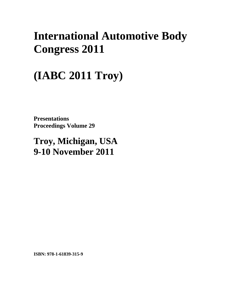## **International Automotive Body Congress 2011**

# **(IABC 2011 Troy)**

**Presentations Proceedings Volume 29** 

**Troy, Michigan, USA 9-10 November 2011**

**ISBN: 978-1-61839-315-9**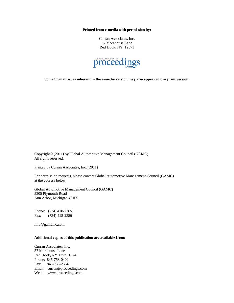**Printed from e-media with permission by:** 

Curran Associates, Inc. 57 Morehouse Lane Red Hook, NY 12571



**Some format issues inherent in the e-media version may also appear in this print version.** 

Copyright© (2011) by Global Automotive Management Council (GAMC) All rights reserved.

Printed by Curran Associates, Inc. (2011)

For permission requests, please contact Global Automotive Management Council (GAMC) at the address below.

Global Automotive Management Council (GAMC) 5305 Plymouth Road Ann Arbor, Michigan 48105

Phone: (734) 418-2365 Fax: (734) 418-2356

info@gamcinc.com

#### **Additional copies of this publication are available from:**

Curran Associates, Inc. 57 Morehouse Lane Red Hook, NY 12571 USA Phone: 845-758-0400 Fax: 845-758-2634 Email: curran@proceedings.com Web: www.proceedings.com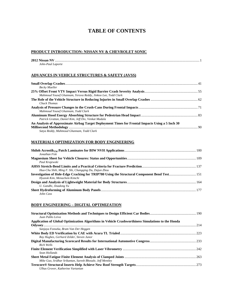### **TABLE OF CONTENTS**

#### **PRODUCT INTRODUCTION: NISSAN NV & CHEVROLET SONIC**

| 2012 Nissan NV    |  |
|-------------------|--|
| John-Paul Laporte |  |

#### **ADVANCES IN VEHICLE STRUCTURES & SAFETY (AVSS)**

| <b>Becky Mueller</b>                                                                            |  |
|-------------------------------------------------------------------------------------------------|--|
|                                                                                                 |  |
| Mahmoud Yousef Ghannam, Yeruva Reddy, Jinkoo Lee, Todd Clark                                    |  |
|                                                                                                 |  |
| Chuck Thomas                                                                                    |  |
|                                                                                                 |  |
| Mahmoud Yousef Ghannam, Todd Clark                                                              |  |
|                                                                                                 |  |
| Patrick Grattan, Daniel Kim, Jeff Dix, Venkat Madala                                            |  |
| An Analysis of Approximate Airbag Target Deployment Times for Frontal Impacts Using a 5 Inch 30 |  |
|                                                                                                 |  |
| Satya Reddy, Mahmoud Ghannam, Todd Clark                                                        |  |

#### **MATERIALS OPTIMIZATION FOR BODY ENGINEERING**

| Jonathan Fisk                                       |  |
|-----------------------------------------------------|--|
| Paul Krajewski                                      |  |
|                                                     |  |
| Hua-Chu Shih, Ming F. Shi, Changqing Du, Dajun Zhou |  |
| Hyunok Kim, Menachem Kimchi                         |  |
|                                                     |  |
| U. Gandhi, Jinadong Yu                              |  |
|                                                     |  |
| John Cass                                           |  |

#### **BODY ENGINEERING – DIGITAL OPTIMIZATION**

| Juan Pablo Leiva                                                                                  |  |
|---------------------------------------------------------------------------------------------------|--|
| Application of Global Optimization Algorithms in Vehicle Crashworthiness Simulations to the Honda |  |
|                                                                                                   |  |
| Sanjaya Fonseka, Bram Van Der Heggen                                                              |  |
|                                                                                                   |  |
| Ray Hughes, Gerhard Zelder, Steven Junor                                                          |  |
|                                                                                                   |  |
| Rich Wells                                                                                        |  |
|                                                                                                   |  |
| Sean Hollands                                                                                     |  |
|                                                                                                   |  |
| Mike Guo, Sridhar Srikantan, Suresh Bhosale, Jeff Mentley                                         |  |
|                                                                                                   |  |
| Ulhas Grover, Katherine Vartanian                                                                 |  |
|                                                                                                   |  |